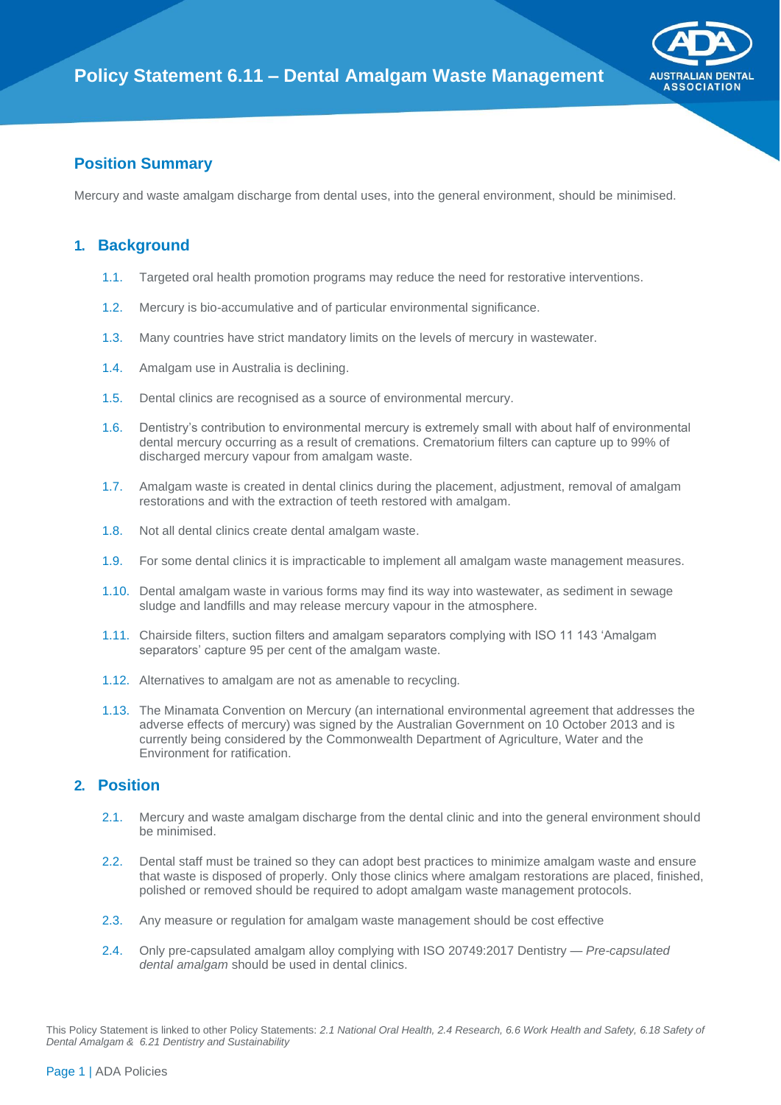

## **Position Summary**

Mercury and waste amalgam discharge from dental uses, into the general environment, should be minimised.

## **1. Background**

- 1.1. Targeted oral health promotion programs may reduce the need for restorative interventions.
- 1.2. Mercury is bio-accumulative and of particular environmental significance.
- 1.3. Many countries have strict mandatory limits on the levels of mercury in wastewater.
- 1.4. Amalgam use in Australia is declining.
- 1.5. Dental clinics are recognised as a source of environmental mercury.
- 1.6. Dentistry's contribution to environmental mercury is extremely small with about half of environmental dental mercury occurring as a result of cremations. Crematorium filters can capture up to 99% of discharged mercury vapour from amalgam waste.
- 1.7. Amalgam waste is created in dental clinics during the placement, adjustment, removal of amalgam restorations and with the extraction of teeth restored with amalgam.
- 1.8. Not all dental clinics create dental amalgam waste.
- 1.9. For some dental clinics it is impracticable to implement all amalgam waste management measures.
- 1.10. Dental amalgam waste in various forms may find its way into wastewater, as sediment in sewage sludge and landfills and may release mercury vapour in the atmosphere.
- 1.11. Chairside filters, suction filters and amalgam separators complying with ISO 11 143 'Amalgam separators' capture 95 per cent of the amalgam waste.
- 1.12. Alternatives to amalgam are not as amenable to recycling.
- 1.13. The Minamata Convention on Mercury (an international environmental agreement that addresses the adverse effects of mercury) was signed by the Australian Government on 10 October 2013 and is currently being considered by the Commonwealth Department of Agriculture, Water and the Environment for ratification.

## **2. Position**

- 2.1. Mercury and waste amalgam discharge from the dental clinic and into the general environment should be minimised.
- 2.2. Dental staff must be trained so they can adopt best practices to minimize amalgam waste and ensure that waste is disposed of properly. Only those clinics where amalgam restorations are placed, finished, polished or removed should be required to adopt amalgam waste management protocols.
- 2.3. Any measure or regulation for amalgam waste management should be cost effective
- 2.4. Only pre-capsulated amalgam alloy complying with ISO 20749:2017 Dentistry *Pre-capsulated dental amalgam* should be used in dental clinics.

This Policy Statement is linked to other Policy Statements: *2.1 National Oral Health, 2.4 Research, 6.6 Work Health and Safety, 6.18 Safety of Dental Amalgam & 6.21 Dentistry and Sustainability*